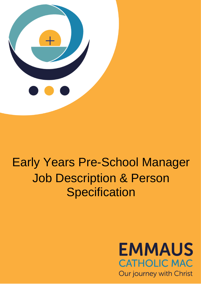

# Early Years Pre-School Manager Job Description & Person **Specification**

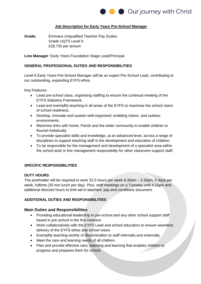

#### **Job Description for Early Years Pre-School Manager**

**Grade:** Emmaus Unqualified Teacher Pay Scales Grade UQTS Level 6 £28,735 per annum

**Line Manager**: Early Years Foundation Stage Lead/Principal

#### **GENERAL PROFESSIONAL DUTIES AND RESPONSIBILITIES**

Level 6 Early Years Pre-School Manager will be an expert Pre-School Lead, contributing to our outstanding, expanding EYFS ethos.

Key Features:

- Lead pre-school class, organising staffing to ensure the continual meeting of the EYFS Statutory Framework.
- Lead and exemplify teaching in all areas of the EYFS to maximise the school vision of school readiness.
- Develop, innovate and sustain well-organised, enabling indoor, and outdoor environments.
- Maximise links with home, Parish and the wider community to enable children to flourish holistically.
- To provide specialist skills and knowledge, at an advanced level, across a range of disciplines to support teaching staff in the development and education of children;
- To be responsible for the management and development of a specialist area within the school and/ or line management responsibility for other classroom support staff.

#### **SPECIFIC RESPONSIBILITIES**

#### **DUTY HOURS**

The postholder will be required to work 32.5 hours per week 8.30am – 3.30pm, 5 days per week, fulltime (30 min lunch per day). Plus, staff meetings on a Tuesday until 4.15pm and additional directed hours to limit set in teachers' pay and conditions document.

#### **ADDITIONAL DUTIES AND RESPONSIBILITIES**

#### **Main Duties and Responsibilities**

- Providing educational leadership in pre-school and any other school support staff based in pre-school in the first instance.
- Work collaboratively with the EYFS Lead and school educators to ensure seamless delivery of the EYFS ethos and school vision.
- Exemplify teaching worthy of dissemination to staff internally and externally.
- Meet the care and learning needs of all children.
- Plan and provide effective care, teaching and learning that enables children to progress and prepares them for school.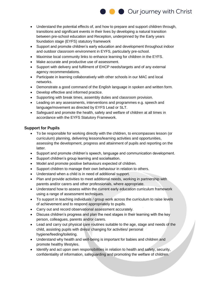

- Understand the potential effects of, and how to prepare and support children through, transitions and significant events in their lives by developing a natural transition between pre-school education and Reception, underpinned by the Early years foundation stage (EYFS) statutory framework
- Support and promote children's early education and development throughout indoor and outdoor classroom environment in EYFS, particularly pre-school.
- Maximise local community links to enhance learning for children in the EYFS.
- Make accurate and productive use of assessment.
- Support with delivery and fulfilment of EHCP needs/targets and of any external agency recommendations.
- Participate in learning collaboratively with other schools in our MAC and local networks.
- Demonstrate a good command of the English language in spoken and written form.
- Develop effective and informed practice.
- Supporting with break times, assembly duties and classroom provision.
- Leading on any assessments, interventions and programmes e.g. speech and language/movement as directed by EYFS Lead or SLT.
- Safeguard and promote the health, safety and welfare of children at all times in accordance with the EYFS Statutory Framework.

## **Support for Pupils**

- To be responsible for working directly with the children, to encompasses lesson (or curriculum) planning, delivering lessons/learning activities and opportunities, assessing the development, progress and attainment of pupils and reporting on the latter.
- Support and promote children's speech, language and communication development.
- Support children's group learning and socialisation.
- Model and promote positive behaviours expected of children.
- Support children to manage their own behaviour in relation to others.
- Understand when a child is in need of additional support.
- Plan and provide activities to meet additional needs, working in partnership with parents and/or carers and other professionals, where appropriate.
- Understand how to assess within the current early education curriculum framework using a range of assessment techniques.
- To support in teaching individuals / group work across the curriculum to raise levels of achievement and to respond appropriately to pupils.
- Carry out and record observational assessment accurately.
- Discuss children's progress and plan the next stages in their learning with the key person, colleagues, parents and/or carers.
- Lead and carry out physical care routines suitable to the age, stage and needs of the child, assisting pupils with dress/ changing for activities/ personal hygiene/feeding/toileting.
- Understand why health and well-being is important for babies and children and promote healthy lifestyles.
- Identify and act upon own responsibilities in relation to health and safety, security, confidentiality of information, safeguarding and promoting the welfare of children.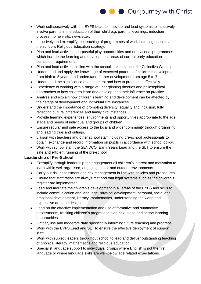

- Work collaboratively with the EYFS Lead to innovate and lead systems to inclusively involve parents in the education of their child e.g. parents' evenings, induction process, home visits, newsletter.
- Inclusively and exemplify the teaching of programmes of work including phonics and the school's Religious Education strategy.
- Plan and lead activities, purposeful play opportunities and educational programmes which include the learning and development areas of current early education curriculum requirements.
- Plan and lead activities in line with the school's expectations for Collective Worship
- Understand and apply the knowledge of expected patterns of children's development from birth to 5 years, and understand further development from age 5 to 7.
- Understand the significance of attachment and how to promote it effectively.
- Experience of working with a range of underpinning theories and philosophical approaches to how children learn and develop, and their influence on practice.
- Analyse and explain how children's learning and development can be affected by their stage of development and individual circumstances.
- Understand the importance of promoting diversity, equality and inclusion, fully reflecting cultural differences and family circumstances.
- Provide learning experiences, environments and opportunities appropriate to the age, stage and needs of individual and groups of children.
- Ensure regular and safe access to the local and wider community through organising, and leading trips and outings.
- Liaison with teachers and other school staff including pre-school professionals to obtain, exchange and record information on pupils in accordance with school policy.
- Work with school staff, the SENDCO, Early Years Lead and the SLT to ensure the safe and efficient running of the pre-school.

## **Leadership of Pre-School**

- Exemplify through leadership the engagement all children's interest and motivation to learn within well-organised, engaging indoor and outdoor environments.
- Carry out risk assessment and risk management in line with policies and procedures.
- Ensure that staff ratios are always met and that legal systems such as the children's register are implemented.
- Lead and facilitate the children's development in all areas of the EYFS and skills to include communication and language, physical development, personal, social and emotional development, literacy, mathematics, understanding the world and expressive arts and design.
- Lead on the effective implementation and use of formative and summative assessments, tracking children's progress to plan next steps and shape learning opportunities.
- Gather, use and moderate date specifically informing future teaching and progress.
- Work with the EYFS Lead and SLT to ensure the effective deployment of support staff.
- Work with subject leaders throughout school to lead and deliver outstanding teaching of phonics, literacy, mathematics and religious education.
- Specialist language support to individuals/ groups where English is not the first language or where language skills are well-below age related expectations.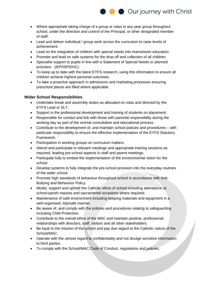

- Where appropriate taking charge of a group or class in any year group throughout school, under the direction and control of the Principal, or other designated member of staff.
- Lead and deliver individual / group work across the curriculum to raise levels of achievement.
- Lead on the integration of children with special needs into mainstream education.
- Promote and lead on safe systems for the drop off and collection of all children.
- Specialist support to pupils in line with a Statement of Special Needs or planned provision. (IEP/ISP/EHC).
- To keep up to date with the latest EYFS research, using this information to ensure all children achieve highest personal outcomes.
- To take a proactive approach in admissions and marketing processes ensuring preschool places are filled where applicable.

# **Wider School Responsibilities**

- Undertake break and assembly duties as allocated on rotas and directed by the EYFS Lead or SLT.
- Support in the professional development and training of students on placement.
- Responsible for contact and link with those with parental responsibility during the working day as part of the normal consultative and educational process.
- Contribute to the development of, and maintain school policies and procedures with particular responsibility to ensure the effective implementation of the EYFS Statutory Framework.
- Participation in working groups on curriculum matters.
- Attend and participate in relevant meetings and appropriate training sessions as required, leading pre-school aspects in staff and parent meetings.
- Participate fully to embed the implementation of the environmental vision for the school.
- Develop systems to fully integrate the pre-school provision into the everyday routines of the wider school.
- Promote high standards of behaviour throughout school in accordance with Anti-Bullying and Behaviour Policy.
- Model, support and uphold the Catholic ethos of school including attendance at school-parish masses and sacramental occasions where required.
- Maintenance of safe environment including keeping materials and equipment in a well-organised, tidy/safe manner.
- Be aware of, and comply with the policies and procedures relating to safeguarding including Child Protection.
- Contribute to the overall ethos of the MAC and maintain positive, professional relationships with directors, staff, visitors and all other stakeholders.
- Be loyal to the mission of the school and pay due regard to the Catholic nature of the School/MAC.
- Operate with the utmost regard to confidentiality and not divulge sensitive information to third parties.
- To comply with the School/MAC Code of Conduct, regulations and policies.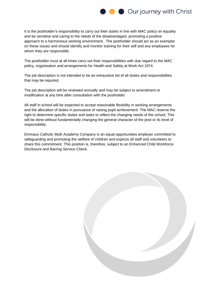

It is the postholder's responsibility to carry out their duties in line with MAC policy on equality and be sensitive and caring to the needs of the disadvantaged, promoting a positive approach to a harmonious working environment. The postholder should act as an exemplar on these issues and should identify and monitor training for their self and any employees for whom they are responsible.

The postholder must at all times carry out their responsibilities with due regard to the MAC policy, organisation and arrangements for Health and Safety at Work Act 1974.

The job description is not intended to be an exhaustive list of all duties and responsibilities that may be required.

The job description will be reviewed annually and may be subject to amendment or modification at any time after consultation with the postholder.

All staff in school will be expected to accept reasonable flexibility in working arrangements and the allocation of duties in pursuance of raising pupil achievement. The MAC reserve the right to determine specific duties and tasks to reflect the changing needs of the school. This will be done without fundamentally changing the general character of the post or its level of responsibility.

Emmaus Catholic Multi Academy Company is an equal opportunities employer committed to safeguarding and promoting the welfare of children and expects all staff and volunteers to share this commitment. This position is, therefore, subject to an Enhanced Child Workforce Disclosure and Barring Service Check.

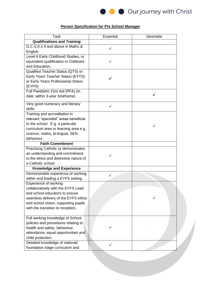

# **Person Specification for Pre School Manager**

| <b>Task</b>                                                             | Essential    | Desirable |
|-------------------------------------------------------------------------|--------------|-----------|
| <b>Qualifications and Training</b>                                      |              |           |
| G.C.S.E.s 4 and above in Maths &                                        |              |           |
| English                                                                 | ✓            |           |
| Level 6 Early Childhood Studies, or                                     |              |           |
| equivalent qualification in Childcare                                   | ✓            |           |
| and Education.                                                          |              |           |
| Qualified Teacher Status (QTS) or                                       |              |           |
| Early Years Teacher Status (EYTS)                                       |              |           |
| or Early Years Professional Status                                      |              |           |
| (EYPS)                                                                  |              |           |
| Full Paediatric First Aid (PFA) (in                                     |              |           |
| date, within 3-year timeframe)                                          |              |           |
| Very good numeracy and literacy                                         |              |           |
| skills.                                                                 | $\checkmark$ |           |
|                                                                         |              |           |
| Training and accreditation in<br>relevant "specialist" areas beneficial |              |           |
| to the school. E.g. a particular                                        |              |           |
| curriculum area or learning area e.g.                                   |              |           |
| science, maths, bi-lingual, SEN,                                        |              |           |
| behaviour.                                                              |              |           |
| <b>Faith Commitment</b>                                                 |              |           |
| Practising Catholic or demonstrates                                     |              |           |
| an understanding and commitment                                         |              |           |
| to the ethos and distinctive nature of                                  | ✓            |           |
| a Catholic school                                                       |              |           |
| <b>Knowledge and Experience</b>                                         |              |           |
| Demonstrable experience of working                                      |              |           |
| within and leading a EYFS setting.                                      | ✓            |           |
| Experience of working                                                   |              |           |
| collaboratively with the EYFS Lead                                      |              |           |
| and school educators to ensure                                          |              |           |
| seamless delivery of the EYFS ethos                                     |              |           |
| and school vision, supporting pupils                                    |              |           |
| with the transition to reception.                                       |              |           |
|                                                                         |              |           |
| Full working knowledge of School                                        |              |           |
| policies and procedures relating to                                     |              |           |
| health and safety, behaviour,                                           |              |           |
| attendance, equal opportunities and                                     |              |           |
| child protection.                                                       |              |           |
| Detailed knowledge of national/                                         | ✓            |           |
| foundation stage curriculum and                                         |              |           |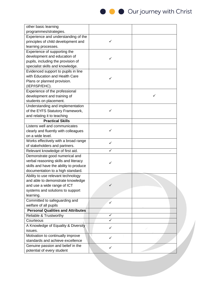

| other basic learning                     |              |   |
|------------------------------------------|--------------|---|
| programmes/strategies.                   |              |   |
| Experience and understanding of the      |              |   |
| principles of child development and      | ✓            |   |
| learning processes.                      |              |   |
| Experience of supporting the             |              |   |
| development and education of             |              |   |
| pupils, including the provision of       |              |   |
| specialist skills and knowledge.         |              |   |
| Evidenced support to pupils in line      |              |   |
| with Education and Health Care           |              |   |
| Plans or planned provision.              | ✓            |   |
| (IEP/ISP/EHC).                           |              |   |
| Experience of the professional           |              |   |
| development and training of              |              | ✓ |
| students on placement.                   |              |   |
| Understanding and implementation         |              |   |
| of the EYFS Statutory Framework,         | ✓            |   |
| and relating it to teaching              |              |   |
| <b>Practical Skills</b>                  |              |   |
| Listens well and communicates            |              |   |
| clearly and fluently with colleagues     | ✓            |   |
| on a wide level.                         |              |   |
| Works effectively with a broad range     |              |   |
| of stakeholders and partners.            | ✓            |   |
| Relevant knowledge of first aid.         |              |   |
| Demonstrate good numerical and           |              |   |
| verbal reasoning skills and literacy     |              |   |
| skills and have the ability to produce   |              |   |
| documentation to a high standard.        |              |   |
| Ability to use relevant technology       |              |   |
| and able to demonstrate knowledge        |              |   |
| and use a wide range of ICT              | ✓            |   |
| systems and solutions to support         |              |   |
| learning.                                |              |   |
| Committed to safeguarding and            | $\checkmark$ |   |
| welfare of all pupils                    |              |   |
| <b>Personal Qualities and Attributes</b> |              |   |
| Reliable & Trustworthy                   | ✓            |   |
| Courteous                                |              |   |
| A Knowledge of Equality & Diversity      | ✓            |   |
| issues.                                  |              |   |
| Motivation to continually improve        | ✓            |   |
| standards and achieve excellence         |              |   |
| Genuine passion and belief in the        | ✓            |   |
| potential of every student               |              |   |